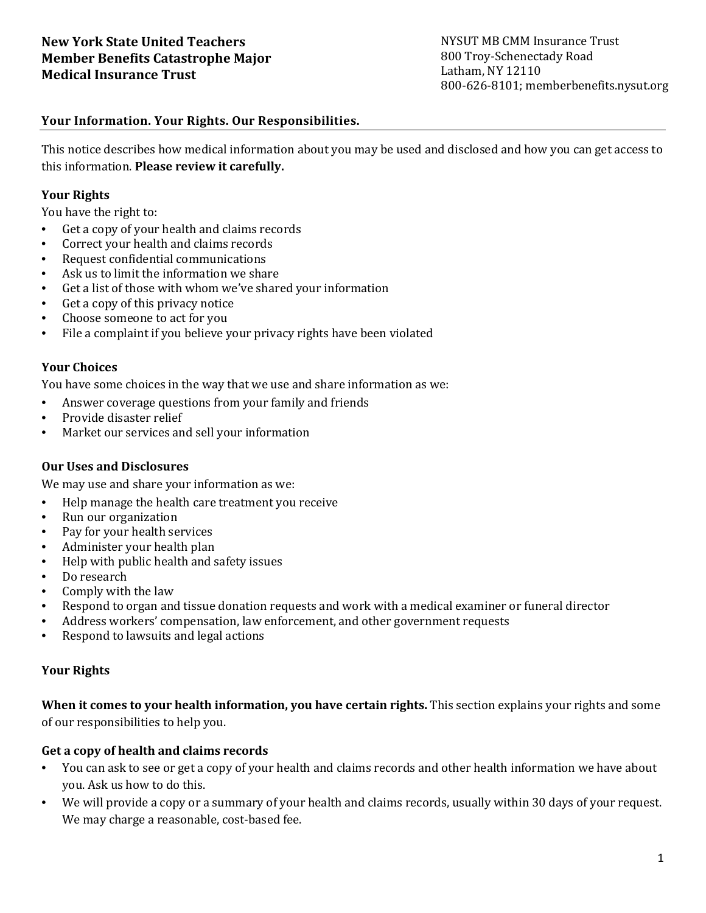NYSUT MB CMM Insurance Trust 800 Troy-Schenectady Road Latham, NY 12110 800-626-8101; memberbenefits.nysut.org

## **Your Information. Your Rights. Our Responsibilities.**

This notice describes how medical information about you may be used and disclosed and how you can get access to this information. **Please review it carefully.**

## **Your Rights**

You have the right to:

- Get a copy of your health and claims records
- Correct your health and claims records<br>• Request confidential communications
- Request confidential communications<br>• Ask us to limit the information we shall
- Ask us to limit the information we share
- Get a list of those with whom we've shared your information<br>• Get a copy of this privacy notice
- Get a copy of this privacy notice<br>• Choose someone to act for you
- Choose someone to act for you<br>• File a complaint if you believe y
- File a complaint if you believe your privacy rights have been violated

### **Your Choices**

You have some choices in the way that we use and share information as we:

- Answer coverage questions from your family and friends<br>• Provide disaster relief
- Provide disaster relief<br>• Market our services an
- Market our services and sell your information

#### **Our Uses and Disclosures**

We may use and share your information as we:

- Help manage the health care treatment you receive<br>• Run our organization
- Run our organization<br>• Pay for your health se
- Pay for your health services
- Administer your health plan
- Help with public health and safety issues<br>• Do research
- Do research<br>• Comply with
- Comply with the law
- Respond to organ and tissue donation requests and work with a medical examiner or funeral director<br>• Address workers' compensation, law enforcement, and other government requests
- Address workers' compensation, law enforcement, and other government requests<br>• Respond to lawsuits and legal actions
- Respond to lawsuits and legal actions

#### **Your Rights**

**When it comes to your health information, you have certain rights.** This section explains your rights and some of our responsibilities to help you.

#### **Get a copy of health and claims records**

- You can ask to see or get a copy of your health and claims records and other health information we have about you. Ask us how to do this.
- We will provide a copy or a summary of your health and claims records, usually within 30 days of your request. We may charge a reasonable, cost-based fee.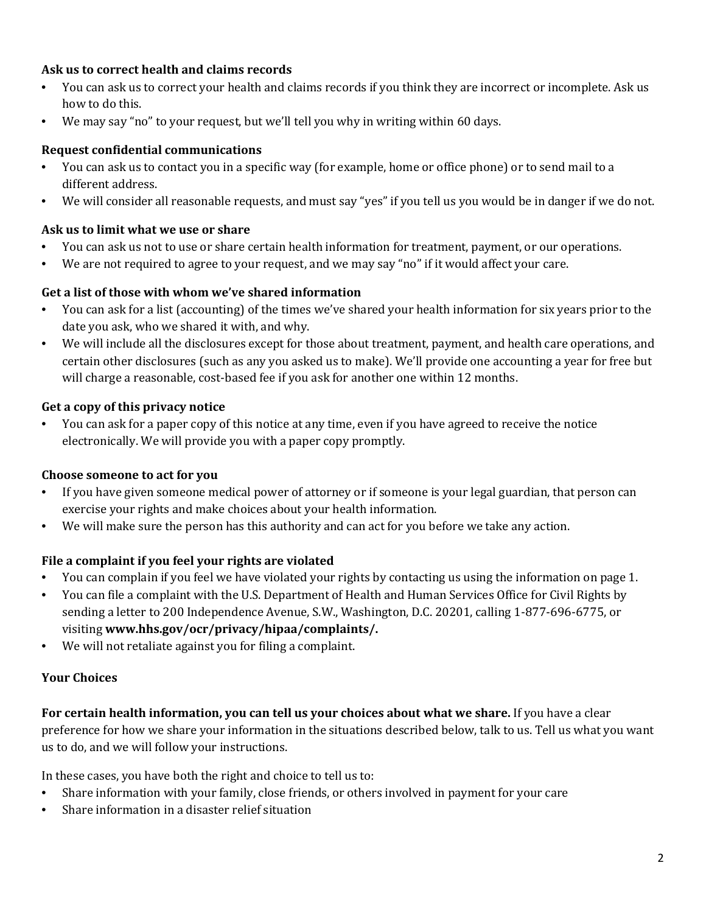# **Ask us to correct health and claims records**

- You can ask us to correct your health and claims records if you think they are incorrect or incomplete. Ask us how to do this.
- We may say "no" to your request, but we'll tell you why in writing within 60 days.

## **Request confidential communications**

- You can ask us to contact you in a specific way (for example, home or office phone) or to send mail to a different address.
- We will consider all reasonable requests, and must say "yes" if you tell us you would be in danger if we do not.

### **Ask us to limit what we use or share**

- You can ask us not to use or share certain health information for treatment, payment, or our operations.
- We are not required to agree to your request, and we may say "no" if it would affect your care.

### **Get a list of those with whom we've shared information**

- You can ask for a list (accounting) of the times we've shared your health information for six years prior to the date you ask, who we shared it with, and why.
- We will include all the disclosures except for those about treatment, payment, and health care operations, and certain other disclosures (such as any you asked us to make). We'll provide one accounting a year for free but will charge a reasonable, cost-based fee if you ask for another one within 12 months.

### **Get a copy of this privacy notice**

• You can ask for a paper copy of this notice at any time, even if you have agreed to receive the notice electronically. We will provide you with a paper copy promptly.

## **Choose someone to act for you**

- If you have given someone medical power of attorney or if someone is your legal guardian, that person can exercise your rights and make choices about your health information.
- We will make sure the person has this authority and can act for you before we take any action.

## **File a complaint if you feel your rights are violated**

- You can complain if you feel we have violated your rights by contacting us using the information on page 1.
- You can file a complaint with the U.S. Department of Health and Human Services Office for Civil Rights by sending a letter to 200 Independence Avenue, S.W., Washington, D.C. 20201, calling 1-877-696-6775, or visiting **www.hhs.gov/ocr/privacy/hipaa/complaints/.**
- We will not retaliate against you for filing a complaint.

## **Your Choices**

**For certain health information, you can tell us your choices about what we share.** If you have a clear preference for how we share your information in the situations described below, talk to us. Tell us what you want us to do, and we will follow your instructions.

In these cases, you have both the right and choice to tell us to:

- Share information with your family, close friends, or others involved in payment for your care
- Share information in a disaster relief situation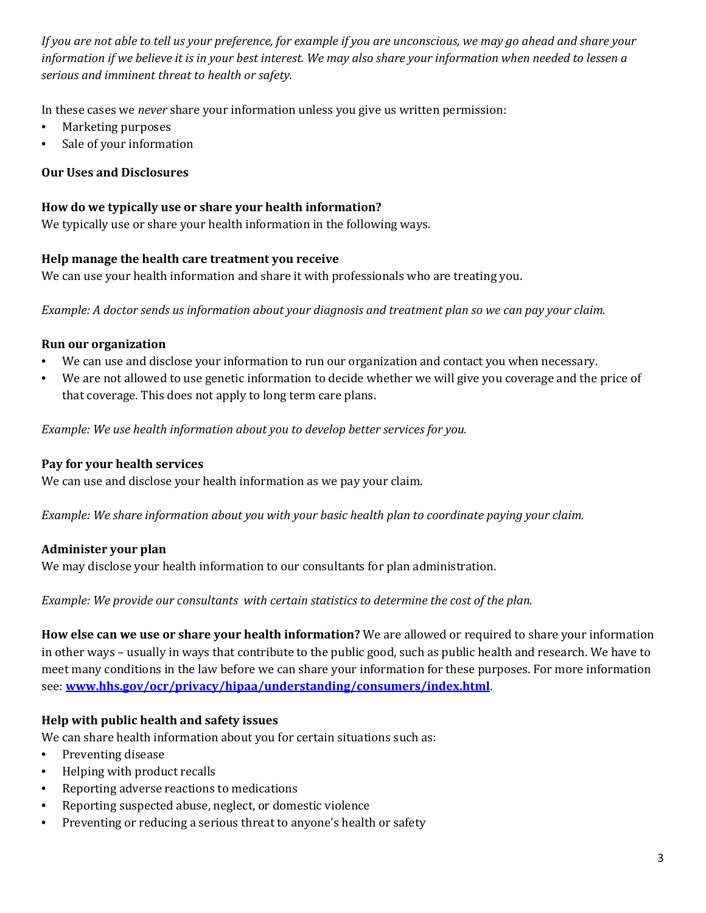*If you are not able to tell us your preference, for example if you are unconscious, we may go ahead and share your information if we believe it is in your best interest. We may also share your information when needed to lessen a serious and imminent threat to health or safety.*

In these cases we *never* share your information unless you give us written permission:

- Marketing purposes
- Sale of your information

# **Our Uses and Disclosures**

## **How do we typically use or share your health information?**

We typically use or share your health information in the following ways.

## **Help manage the health care treatment you receive**

We can use your health information and share it with professionals who are treating you.

*Example: A doctor sends us information about your diagnosis and treatment plan so we can pay your claim.*

## **Run our organization**

- We can use and disclose your information to run our organization and contact you when necessary.
- We are not allowed to use genetic information to decide whether we will give you coverage and the price of that coverage. This does not apply to long term care plans.

*Example: We use health information about you to develop better services for you.*

# **Pay for your health services**

We can use and disclose your health information as we pay your claim.

*Example: We share information about you with your basic health plan to coordinate paying your claim.*

# **Administer your plan**

We may disclose your health information to our consultants for plan administration.

*Example: We provide our consultants with certain statistics to determine the cost of the plan.*

**How else can we use or share your health information?** We are allowed or required to share your information in other ways – usually in ways that contribute to the public good, such as public health and research. We have to meet many conditions in the law before we can share your information for these purposes. For more information see: **[www.hhs.gov/ocr/privacy/hipaa/understanding/consumers/index.html](http://www.hhs.gov/ocr/privacy/hipaa/understanding/consumers/index.html)**.

# **Help with public health and safety issues**

We can share health information about you for certain situations such as:

- Preventing disease
- Helping with product recalls
- Reporting adverse reactions to medications
- Reporting suspected abuse, neglect, or domestic violence
- Preventing or reducing a serious threat to anyone's health or safety